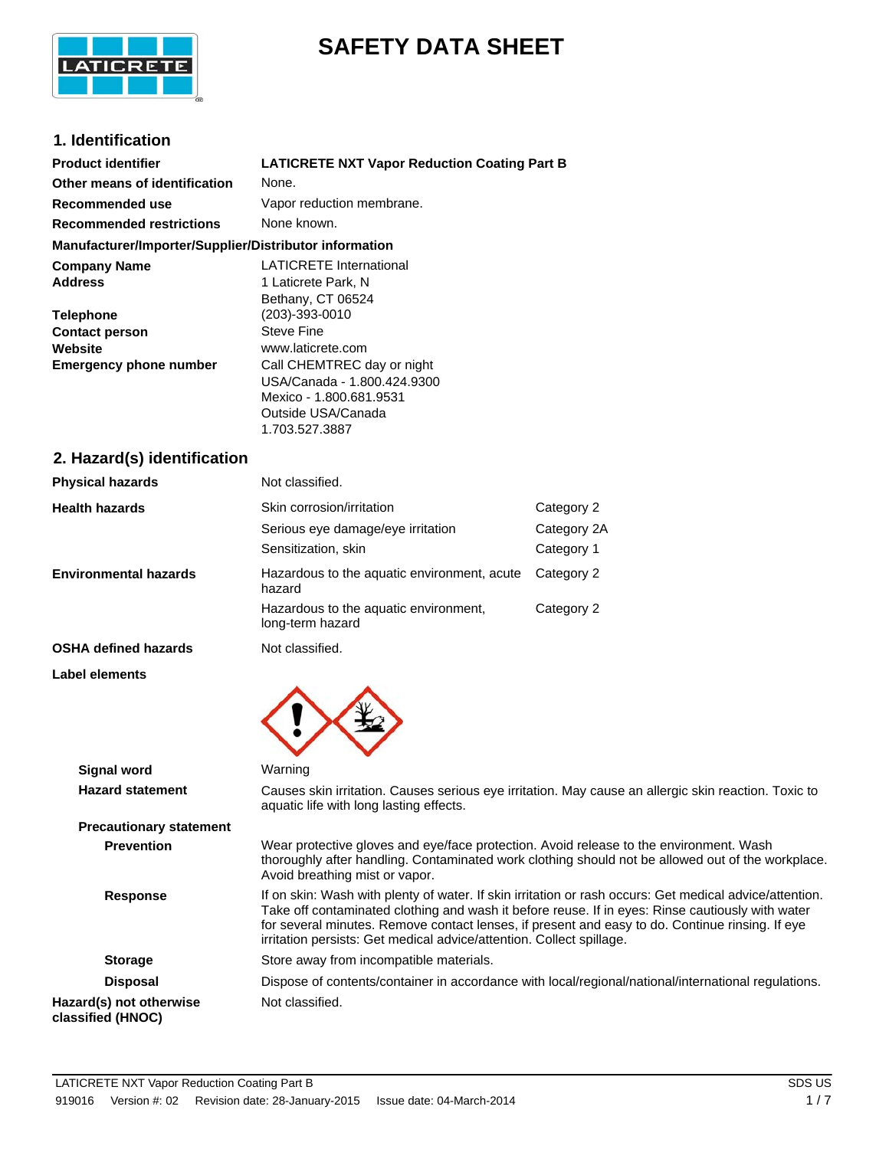

# **SAFETY DATA SHEET**

# **1. Identification**

| <b>Product identifier</b>                                         | <b>LATICRETE NXT Vapor Reduction Coating Part B</b>                                                                                                                    |                                         |  |
|-------------------------------------------------------------------|------------------------------------------------------------------------------------------------------------------------------------------------------------------------|-----------------------------------------|--|
| Other means of identification                                     | None.                                                                                                                                                                  |                                         |  |
| <b>Recommended use</b>                                            | Vapor reduction membrane.                                                                                                                                              |                                         |  |
| <b>Recommended restrictions</b>                                   | None known.                                                                                                                                                            |                                         |  |
| Manufacturer/Importer/Supplier/Distributor information            |                                                                                                                                                                        |                                         |  |
| <b>Company Name</b><br><b>Address</b><br><b>Telephone</b>         | <b>LATICRETE International</b><br>1 Laticrete Park, N<br>Bethany, CT 06524<br>(203)-393-0010                                                                           |                                         |  |
| <b>Contact person</b><br>Website<br><b>Emergency phone number</b> | <b>Steve Fine</b><br>www.laticrete.com<br>Call CHEMTREC day or night<br>USA/Canada - 1.800.424.9300<br>Mexico - 1.800.681.9531<br>Outside USA/Canada<br>1.703.527.3887 |                                         |  |
| 2. Hazard(s) identification                                       |                                                                                                                                                                        |                                         |  |
| <b>Physical hazards</b>                                           | Not classified.                                                                                                                                                        |                                         |  |
| <b>Health hazards</b>                                             | Skin corrosion/irritation<br>Serious eye damage/eye irritation<br>Sensitization, skin                                                                                  | Category 2<br>Category 2A<br>Category 1 |  |
| <b>Environmental hazards</b>                                      | Hazardous to the aquatic environment, acute<br>hazard                                                                                                                  | Category 2                              |  |
|                                                                   | Hazardous to the aquatic environment,<br>long-term hazard                                                                                                              | Category 2                              |  |
| <b>OSHA defined hazards</b>                                       | Not classified.                                                                                                                                                        |                                         |  |
| <b>Label elements</b>                                             |                                                                                                                                                                        |                                         |  |

| <b>Signal word</b>                           | Warning                                                                                                                                                                                                                                                                                                                                                                                |
|----------------------------------------------|----------------------------------------------------------------------------------------------------------------------------------------------------------------------------------------------------------------------------------------------------------------------------------------------------------------------------------------------------------------------------------------|
| <b>Hazard statement</b>                      | Causes skin irritation. Causes serious eye irritation. May cause an allergic skin reaction. Toxic to<br>aquatic life with long lasting effects.                                                                                                                                                                                                                                        |
| <b>Precautionary statement</b>               |                                                                                                                                                                                                                                                                                                                                                                                        |
| <b>Prevention</b>                            | Wear protective gloves and eye/face protection. Avoid release to the environment. Wash<br>thoroughly after handling. Contaminated work clothing should not be allowed out of the workplace.<br>Avoid breathing mist or vapor.                                                                                                                                                          |
| <b>Response</b>                              | If on skin: Wash with plenty of water. If skin irritation or rash occurs: Get medical advice/attention.<br>Take off contaminated clothing and wash it before reuse. If in eyes: Rinse cautiously with water<br>for several minutes. Remove contact lenses, if present and easy to do. Continue rinsing. If eye<br>irritation persists: Get medical advice/attention. Collect spillage. |
| <b>Storage</b>                               | Store away from incompatible materials.                                                                                                                                                                                                                                                                                                                                                |
| <b>Disposal</b>                              | Dispose of contents/container in accordance with local/regional/national/international regulations.                                                                                                                                                                                                                                                                                    |
| Hazard(s) not otherwise<br>classified (HNOC) | Not classified.                                                                                                                                                                                                                                                                                                                                                                        |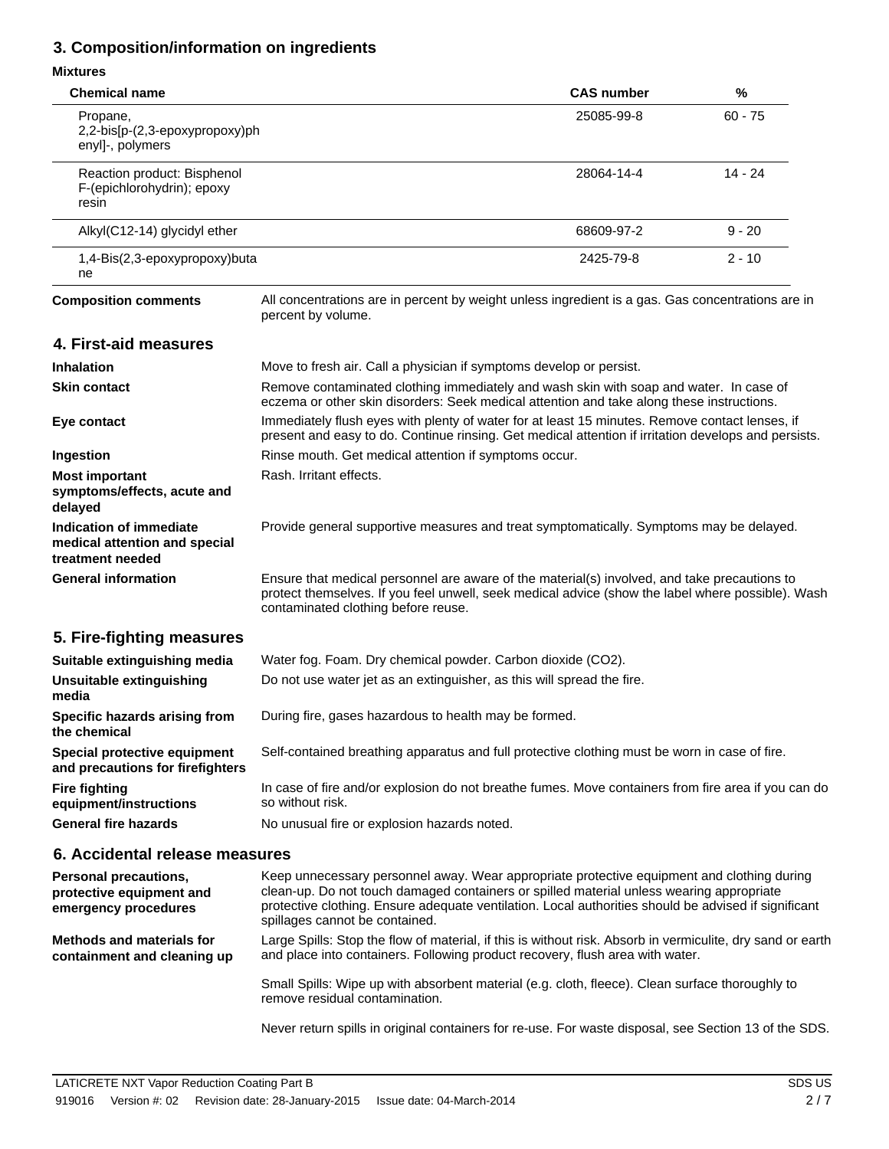# **3. Composition/information on ingredients**

### **Mixtures**

| פס וואו וואו                                                                 |                                                                                                                                                                                                                                                                                                                                  |                                                                                                                                                                                                        |           |  |
|------------------------------------------------------------------------------|----------------------------------------------------------------------------------------------------------------------------------------------------------------------------------------------------------------------------------------------------------------------------------------------------------------------------------|--------------------------------------------------------------------------------------------------------------------------------------------------------------------------------------------------------|-----------|--|
| <b>Chemical name</b>                                                         |                                                                                                                                                                                                                                                                                                                                  | <b>CAS number</b>                                                                                                                                                                                      | %         |  |
| Propane,<br>2,2-bis[p-(2,3-epoxypropoxy)ph<br>enyl]-, polymers               |                                                                                                                                                                                                                                                                                                                                  | 25085-99-8                                                                                                                                                                                             | $60 - 75$ |  |
| Reaction product: Bisphenol<br>F-(epichlorohydrin); epoxy<br>resin           |                                                                                                                                                                                                                                                                                                                                  | 28064-14-4                                                                                                                                                                                             | $14 - 24$ |  |
| Alkyl(C12-14) glycidyl ether                                                 |                                                                                                                                                                                                                                                                                                                                  | 68609-97-2                                                                                                                                                                                             | $9 - 20$  |  |
| 1,4-Bis(2,3-epoxypropoxy)buta<br>ne                                          |                                                                                                                                                                                                                                                                                                                                  | 2425-79-8                                                                                                                                                                                              | 2 - 10    |  |
| <b>Composition comments</b>                                                  | All concentrations are in percent by weight unless ingredient is a gas. Gas concentrations are in<br>percent by volume.                                                                                                                                                                                                          |                                                                                                                                                                                                        |           |  |
| 4. First-aid measures                                                        |                                                                                                                                                                                                                                                                                                                                  |                                                                                                                                                                                                        |           |  |
| <b>Inhalation</b>                                                            | Move to fresh air. Call a physician if symptoms develop or persist.                                                                                                                                                                                                                                                              |                                                                                                                                                                                                        |           |  |
| <b>Skin contact</b>                                                          |                                                                                                                                                                                                                                                                                                                                  | Remove contaminated clothing immediately and wash skin with soap and water. In case of<br>eczema or other skin disorders: Seek medical attention and take along these instructions.                    |           |  |
| Eye contact                                                                  |                                                                                                                                                                                                                                                                                                                                  | Immediately flush eyes with plenty of water for at least 15 minutes. Remove contact lenses, if<br>present and easy to do. Continue rinsing. Get medical attention if irritation develops and persists. |           |  |
| Ingestion                                                                    | Rinse mouth. Get medical attention if symptoms occur.                                                                                                                                                                                                                                                                            |                                                                                                                                                                                                        |           |  |
| <b>Most important</b><br>symptoms/effects, acute and<br>delayed              | Rash. Irritant effects.                                                                                                                                                                                                                                                                                                          |                                                                                                                                                                                                        |           |  |
| Indication of immediate<br>medical attention and special<br>treatment needed | Provide general supportive measures and treat symptomatically. Symptoms may be delayed.                                                                                                                                                                                                                                          |                                                                                                                                                                                                        |           |  |
| <b>General information</b>                                                   | Ensure that medical personnel are aware of the material(s) involved, and take precautions to<br>protect themselves. If you feel unwell, seek medical advice (show the label where possible). Wash<br>contaminated clothing before reuse.                                                                                         |                                                                                                                                                                                                        |           |  |
| 5. Fire-fighting measures                                                    |                                                                                                                                                                                                                                                                                                                                  |                                                                                                                                                                                                        |           |  |
| Suitable extinguishing media                                                 | Water fog. Foam. Dry chemical powder. Carbon dioxide (CO2).                                                                                                                                                                                                                                                                      |                                                                                                                                                                                                        |           |  |
| Unsuitable extinguishing<br>media                                            | Do not use water jet as an extinguisher, as this will spread the fire.                                                                                                                                                                                                                                                           |                                                                                                                                                                                                        |           |  |
| Specific hazards arising from<br>the chemical                                | During fire, gases hazardous to health may be formed.                                                                                                                                                                                                                                                                            |                                                                                                                                                                                                        |           |  |
| Special protective equipment<br>and precautions for firefighters             | Self-contained breathing apparatus and full protective clothing must be worn in case of fire.                                                                                                                                                                                                                                    |                                                                                                                                                                                                        |           |  |
| <b>Fire fighting</b><br>equipment/instructions                               | In case of fire and/or explosion do not breathe fumes. Move containers from fire area if you can do<br>so without risk.                                                                                                                                                                                                          |                                                                                                                                                                                                        |           |  |
| <b>General fire hazards</b>                                                  | No unusual fire or explosion hazards noted.                                                                                                                                                                                                                                                                                      |                                                                                                                                                                                                        |           |  |
| 6. Accidental release measures                                               |                                                                                                                                                                                                                                                                                                                                  |                                                                                                                                                                                                        |           |  |
| Personal precautions,<br>protective equipment and<br>emergency procedures    | Keep unnecessary personnel away. Wear appropriate protective equipment and clothing during<br>clean-up. Do not touch damaged containers or spilled material unless wearing appropriate<br>protective clothing. Ensure adequate ventilation. Local authorities should be advised if significant<br>spillages cannot be contained. |                                                                                                                                                                                                        |           |  |
| <b>Methods and materials for</b><br>containment and cleaning up              | Large Spills: Stop the flow of material, if this is without risk. Absorb in vermiculite, dry sand or earth<br>and place into containers. Following product recovery, flush area with water.                                                                                                                                      |                                                                                                                                                                                                        |           |  |
|                                                                              | Small Spills: Wipe up with absorbent material (e.g. cloth, fleece). Clean surface thoroughly to<br>remove residual contamination.                                                                                                                                                                                                |                                                                                                                                                                                                        |           |  |

Never return spills in original containers for re-use. For waste disposal, see Section 13 of the SDS.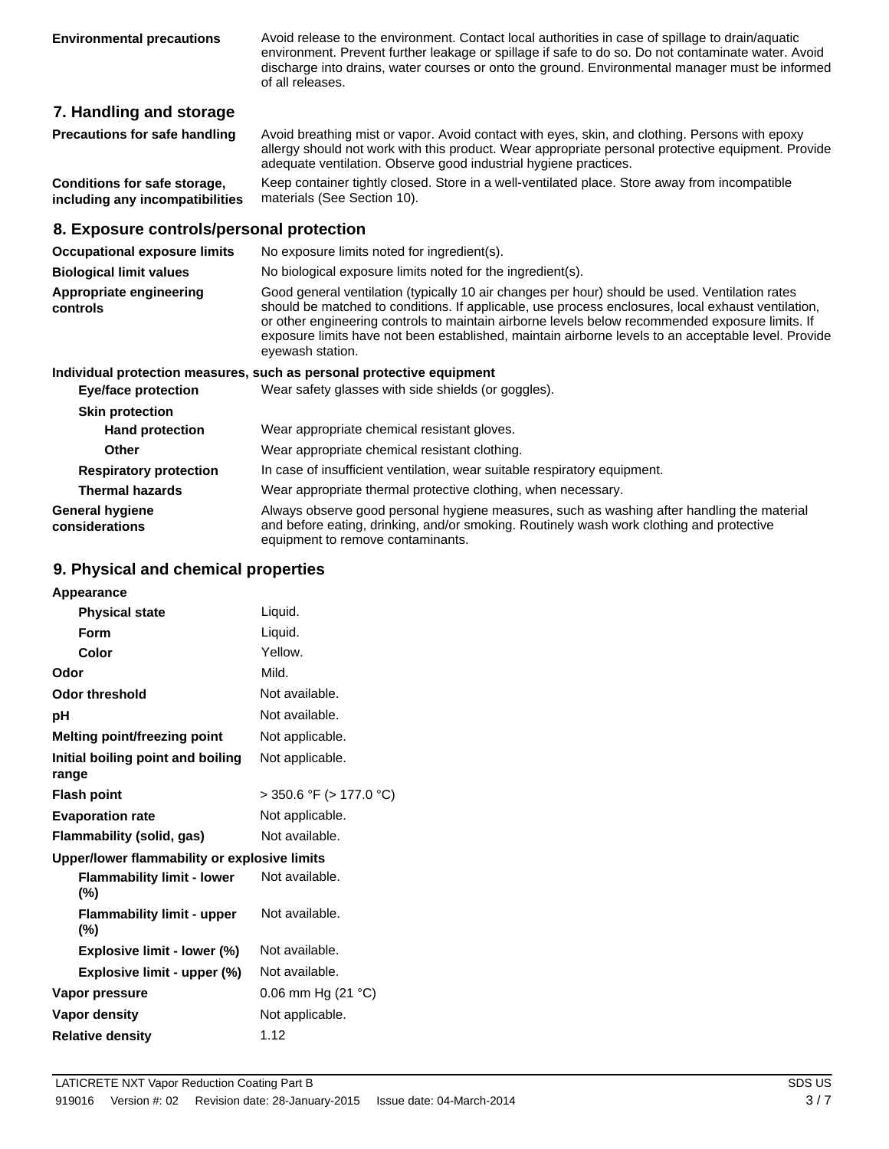**Environmental precautions** Avoid release to the environment. Contact local authorities in case of spillage to drain/aquatic environment. Prevent further leakage or spillage if safe to do so. Do not contaminate water. Avoid discharge into drains, water courses or onto the ground. Environmental manager must be informed of all releases.

### **7. Handling and storage**

| Precautions for safe handling | Avoid breathing mist or vapor. Avoid contact with eyes, skin, and clothing. Persons with epoxy     |
|-------------------------------|----------------------------------------------------------------------------------------------------|
|                               | allergy should not work with this product. Wear appropriate personal protective equipment. Provide |
|                               | adequate ventilation. Observe good industrial hygiene practices.                                   |

**Conditions for safe storage, including any incompatibilities** Keep container tightly closed. Store in a well-ventilated place. Store away from incompatible materials (See Section 10).

#### **8. Exposure controls/personal protection**

| <b>Occupational exposure limits</b>      | No exposure limits noted for ingredient(s).                                                                                                                                                                                                                                                                                                                                                                                        |  |  |
|------------------------------------------|------------------------------------------------------------------------------------------------------------------------------------------------------------------------------------------------------------------------------------------------------------------------------------------------------------------------------------------------------------------------------------------------------------------------------------|--|--|
| <b>Biological limit values</b>           | No biological exposure limits noted for the ingredient(s).                                                                                                                                                                                                                                                                                                                                                                         |  |  |
| Appropriate engineering<br>controls      | Good general ventilation (typically 10 air changes per hour) should be used. Ventilation rates<br>should be matched to conditions. If applicable, use process enclosures, local exhaust ventilation,<br>or other engineering controls to maintain airborne levels below recommended exposure limits. If<br>exposure limits have not been established, maintain airborne levels to an acceptable level. Provide<br>eyewash station. |  |  |
|                                          | Individual protection measures, such as personal protective equipment                                                                                                                                                                                                                                                                                                                                                              |  |  |
| <b>Eye/face protection</b>               | Wear safety glasses with side shields (or goggles).                                                                                                                                                                                                                                                                                                                                                                                |  |  |
| <b>Skin protection</b>                   |                                                                                                                                                                                                                                                                                                                                                                                                                                    |  |  |
| <b>Hand protection</b>                   | Wear appropriate chemical resistant gloves.                                                                                                                                                                                                                                                                                                                                                                                        |  |  |
| <b>Other</b>                             | Wear appropriate chemical resistant clothing.                                                                                                                                                                                                                                                                                                                                                                                      |  |  |
| <b>Respiratory protection</b>            | In case of insufficient ventilation, wear suitable respiratory equipment.                                                                                                                                                                                                                                                                                                                                                          |  |  |
| <b>Thermal hazards</b>                   | Wear appropriate thermal protective clothing, when necessary.                                                                                                                                                                                                                                                                                                                                                                      |  |  |
| <b>General hygiene</b><br>considerations | Always observe good personal hygiene measures, such as washing after handling the material<br>and before eating, drinking, and/or smoking. Routinely wash work clothing and protective<br>equipment to remove contaminants.                                                                                                                                                                                                        |  |  |

### **9. Physical and chemical properties**

| Appearance                                   |                         |
|----------------------------------------------|-------------------------|
| <b>Physical state</b>                        | Liquid.                 |
| Form                                         | Liquid.                 |
| Color                                        | Yellow.                 |
| Odor                                         | Mild.                   |
| Odor threshold                               | Not available.          |
| рH                                           | Not available.          |
| <b>Melting point/freezing point</b>          | Not applicable.         |
| Initial boiling point and boiling<br>range   | Not applicable.         |
| <b>Flash point</b>                           | > 350.6 °F (> 177.0 °C) |
| <b>Evaporation rate</b>                      | Not applicable.         |
| Flammability (solid, gas)                    | Not available.          |
| Upper/lower flammability or explosive limits |                         |
| <b>Flammability limit - lower</b><br>(%)     | Not available.          |
| <b>Flammability limit - upper</b><br>$(\% )$ | Not available.          |
| Explosive limit - lower (%)                  | Not available.          |
| Explosive limit - upper (%)                  | Not available.          |
| Vapor pressure                               | 0.06 mm Hg $(21 °C)$    |
| Vapor density                                | Not applicable.         |
| <b>Relative density</b>                      | 1.12                    |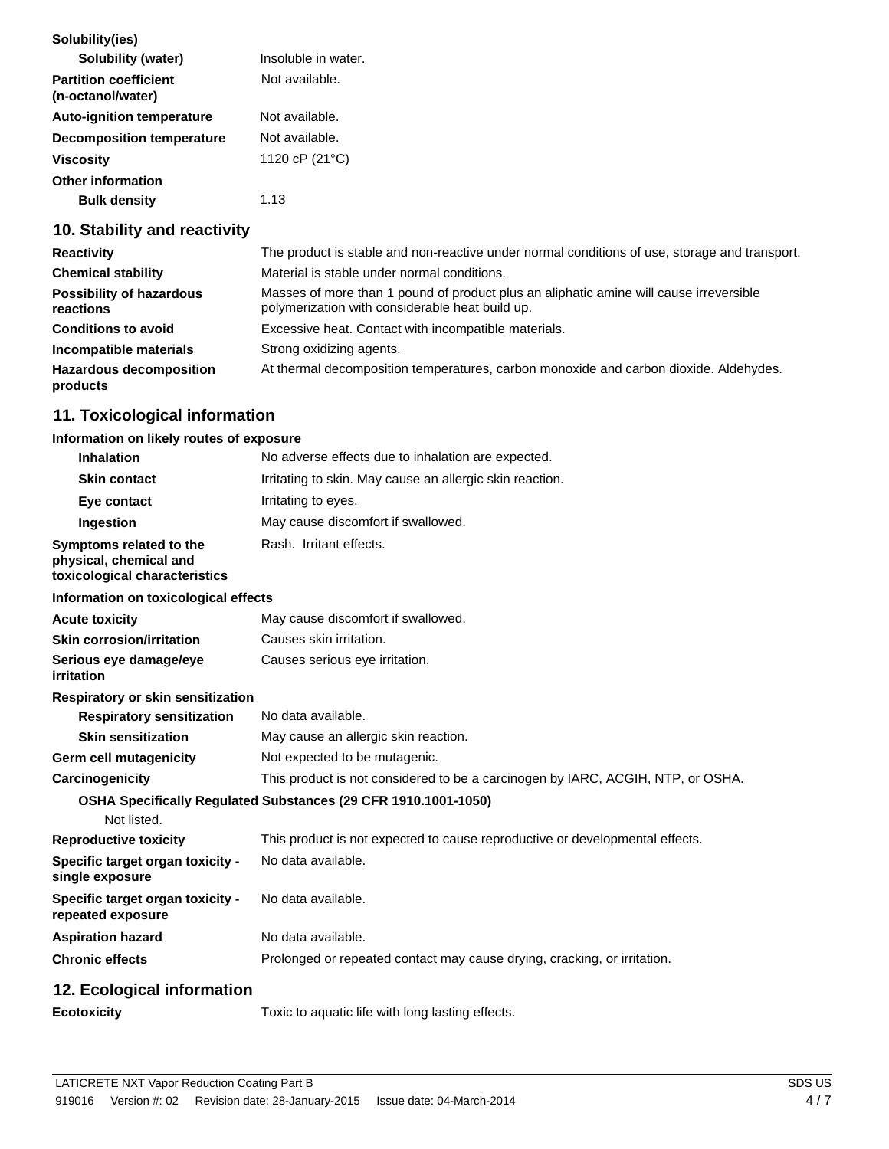| Solubility(ies)                                   |                     |
|---------------------------------------------------|---------------------|
| <b>Solubility (water)</b>                         | Insoluble in water. |
| <b>Partition coefficient</b><br>(n-octanol/water) | Not available.      |
| <b>Auto-ignition temperature</b>                  | Not available.      |
| <b>Decomposition temperature</b>                  | Not available.      |
| <b>Viscosity</b>                                  | 1120 cP (21°C)      |
| <b>Other information</b>                          |                     |
| <b>Bulk density</b>                               | 1.13                |

## **10. Stability and reactivity**

| <b>Reactivity</b>                            | The product is stable and non-reactive under normal conditions of use, storage and transport.                                             |
|----------------------------------------------|-------------------------------------------------------------------------------------------------------------------------------------------|
| <b>Chemical stability</b>                    | Material is stable under normal conditions.                                                                                               |
| <b>Possibility of hazardous</b><br>reactions | Masses of more than 1 pound of product plus an aliphatic amine will cause irreversible<br>polymerization with considerable heat build up. |
| <b>Conditions to avoid</b>                   | Excessive heat. Contact with incompatible materials.                                                                                      |
| Incompatible materials                       | Strong oxidizing agents.                                                                                                                  |
| <b>Hazardous decomposition</b><br>products   | At thermal decomposition temperatures, carbon monoxide and carbon dioxide. Aldehydes.                                                     |

# **11. Toxicological information**

#### **Information on likely routes of exposure**

| <b>Inhalation</b>                                                                  | No adverse effects due to inhalation are expected.                              |
|------------------------------------------------------------------------------------|---------------------------------------------------------------------------------|
| <b>Skin contact</b>                                                                | Irritating to skin. May cause an allergic skin reaction.                        |
| Eye contact                                                                        | Irritating to eyes.                                                             |
| Ingestion                                                                          | May cause discomfort if swallowed.                                              |
| Symptoms related to the<br>physical, chemical and<br>toxicological characteristics | Rash. Irritant effects.                                                         |
| Information on toxicological effects                                               |                                                                                 |
| <b>Acute toxicity</b>                                                              | May cause discomfort if swallowed.                                              |
| <b>Skin corrosion/irritation</b>                                                   | Causes skin irritation.                                                         |
| Serious eye damage/eye<br>irritation                                               | Causes serious eye irritation.                                                  |
| Respiratory or skin sensitization                                                  |                                                                                 |
| <b>Respiratory sensitization</b>                                                   | No data available.                                                              |
| <b>Skin sensitization</b>                                                          | May cause an allergic skin reaction.                                            |
| Germ cell mutagenicity                                                             | Not expected to be mutagenic.                                                   |
| Carcinogenicity                                                                    | This product is not considered to be a carcinogen by IARC, ACGIH, NTP, or OSHA. |
|                                                                                    | OSHA Specifically Regulated Substances (29 CFR 1910.1001-1050)                  |
| Not listed.                                                                        |                                                                                 |
| <b>Reproductive toxicity</b>                                                       | This product is not expected to cause reproductive or developmental effects.    |
| Specific target organ toxicity -<br>single exposure                                | No data available.                                                              |
| Specific target organ toxicity -<br>repeated exposure                              | No data available.                                                              |
| <b>Aspiration hazard</b>                                                           | No data available.                                                              |
| <b>Chronic effects</b>                                                             | Prolonged or repeated contact may cause drying, cracking, or irritation.        |
| 12. Ecological information                                                         |                                                                                 |
| <b>Ecotoxicity</b>                                                                 | Toxic to aquatic life with long lasting effects.                                |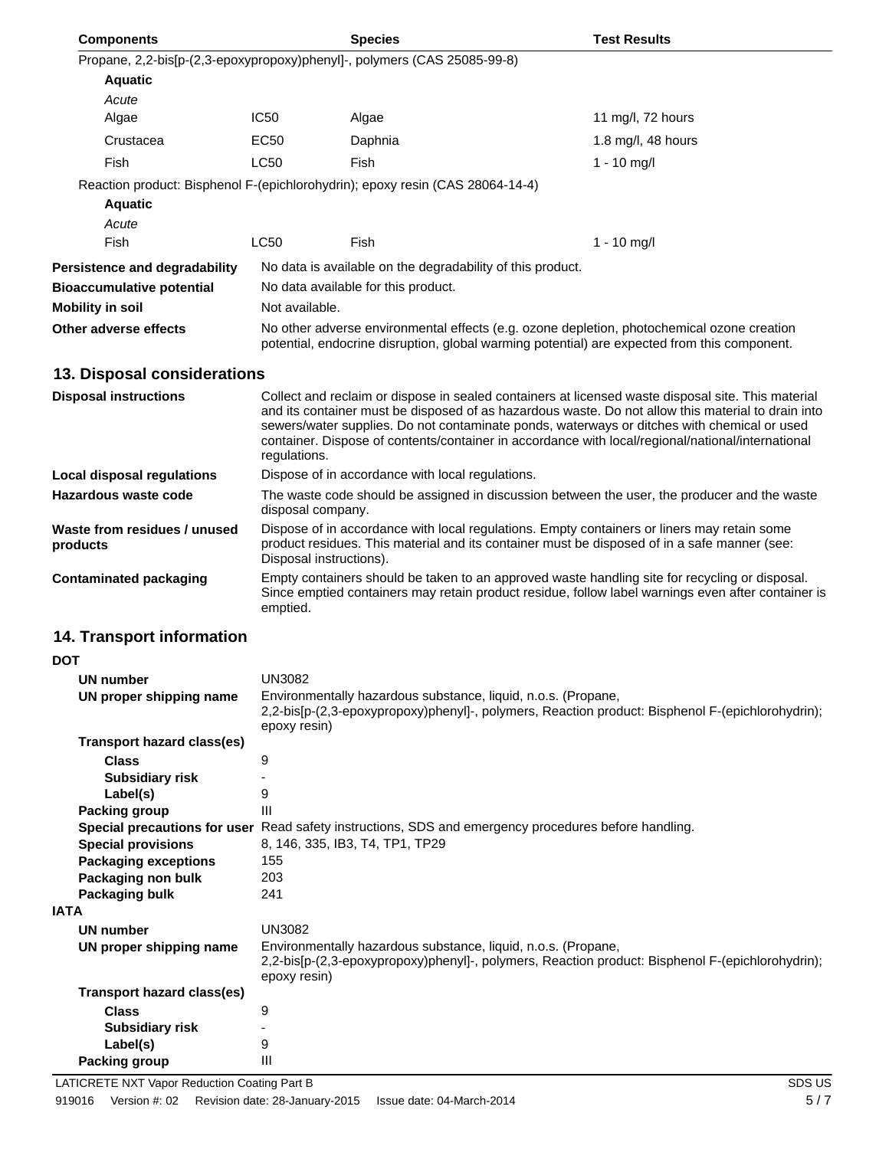| <b>Components</b>                                                             |                                                                                                                                                                                                                                                                                                                        | <b>Species</b>                                                                                                                                                                             | <b>Test Results</b>                                                                                |  |
|-------------------------------------------------------------------------------|------------------------------------------------------------------------------------------------------------------------------------------------------------------------------------------------------------------------------------------------------------------------------------------------------------------------|--------------------------------------------------------------------------------------------------------------------------------------------------------------------------------------------|----------------------------------------------------------------------------------------------------|--|
| Propane, 2,2-bis[p-(2,3-epoxypropoxy)phenyl]-, polymers (CAS 25085-99-8)      |                                                                                                                                                                                                                                                                                                                        |                                                                                                                                                                                            |                                                                                                    |  |
| <b>Aquatic</b>                                                                |                                                                                                                                                                                                                                                                                                                        |                                                                                                                                                                                            |                                                                                                    |  |
| Acute                                                                         |                                                                                                                                                                                                                                                                                                                        |                                                                                                                                                                                            |                                                                                                    |  |
| Algae                                                                         | <b>IC50</b>                                                                                                                                                                                                                                                                                                            | Algae                                                                                                                                                                                      | 11 mg/l, 72 hours                                                                                  |  |
| Crustacea                                                                     | EC50                                                                                                                                                                                                                                                                                                                   | Daphnia                                                                                                                                                                                    | 1.8 mg/l, 48 hours                                                                                 |  |
| Fish                                                                          | <b>LC50</b>                                                                                                                                                                                                                                                                                                            | Fish                                                                                                                                                                                       | $1 - 10$ mg/l                                                                                      |  |
| Reaction product: Bisphenol F-(epichlorohydrin); epoxy resin (CAS 28064-14-4) |                                                                                                                                                                                                                                                                                                                        |                                                                                                                                                                                            |                                                                                                    |  |
| <b>Aquatic</b>                                                                |                                                                                                                                                                                                                                                                                                                        |                                                                                                                                                                                            |                                                                                                    |  |
| Acute                                                                         |                                                                                                                                                                                                                                                                                                                        |                                                                                                                                                                                            |                                                                                                    |  |
| Fish                                                                          | <b>LC50</b>                                                                                                                                                                                                                                                                                                            | Fish                                                                                                                                                                                       | $1 - 10$ mg/l                                                                                      |  |
|                                                                               |                                                                                                                                                                                                                                                                                                                        |                                                                                                                                                                                            |                                                                                                    |  |
| Persistence and degradability                                                 |                                                                                                                                                                                                                                                                                                                        | No data is available on the degradability of this product.                                                                                                                                 |                                                                                                    |  |
| <b>Bioaccumulative potential</b>                                              |                                                                                                                                                                                                                                                                                                                        | No data available for this product.                                                                                                                                                        |                                                                                                    |  |
| <b>Mobility in soil</b>                                                       | Not available.                                                                                                                                                                                                                                                                                                         |                                                                                                                                                                                            |                                                                                                    |  |
| Other adverse effects                                                         |                                                                                                                                                                                                                                                                                                                        | No other adverse environmental effects (e.g. ozone depletion, photochemical ozone creation<br>potential, endocrine disruption, global warming potential) are expected from this component. |                                                                                                    |  |
| 13. Disposal considerations                                                   |                                                                                                                                                                                                                                                                                                                        |                                                                                                                                                                                            |                                                                                                    |  |
| <b>Disposal instructions</b>                                                  |                                                                                                                                                                                                                                                                                                                        |                                                                                                                                                                                            | Collect and reclaim or dispose in sealed containers at licensed waste disposal site. This material |  |
|                                                                               | and its container must be disposed of as hazardous waste. Do not allow this material to drain into<br>sewers/water supplies. Do not contaminate ponds, waterways or ditches with chemical or used<br>container. Dispose of contents/container in accordance with local/regional/national/international<br>regulations. |                                                                                                                                                                                            |                                                                                                    |  |
| <b>Local disposal regulations</b>                                             | Dispose of in accordance with local regulations.                                                                                                                                                                                                                                                                       |                                                                                                                                                                                            |                                                                                                    |  |
| Hazardous waste code                                                          | The waste code should be assigned in discussion between the user, the producer and the waste<br>disposal company.                                                                                                                                                                                                      |                                                                                                                                                                                            |                                                                                                    |  |
| Waste from residues / unused<br>products                                      | Dispose of in accordance with local regulations. Empty containers or liners may retain some<br>product residues. This material and its container must be disposed of in a safe manner (see:<br>Disposal instructions).                                                                                                 |                                                                                                                                                                                            |                                                                                                    |  |
| <b>Contaminated packaging</b>                                                 | Empty containers should be taken to an approved waste handling site for recycling or disposal.<br>Since emptied containers may retain product residue, follow label warnings even after container is<br>emptied.                                                                                                       |                                                                                                                                                                                            |                                                                                                    |  |
| 14. Transport information                                                     |                                                                                                                                                                                                                                                                                                                        |                                                                                                                                                                                            |                                                                                                    |  |
| <b>DOT</b>                                                                    |                                                                                                                                                                                                                                                                                                                        |                                                                                                                                                                                            |                                                                                                    |  |
| <b>UN number</b>                                                              | <b>UN3082</b>                                                                                                                                                                                                                                                                                                          |                                                                                                                                                                                            |                                                                                                    |  |
| UN proper shipping name                                                       | Environmentally hazardous substance, liquid, n.o.s. (Propane,<br>2,2-bis[p-(2,3-epoxypropoxy)phenyl]-, polymers, Reaction product: Bisphenol F-(epichlorohydrin);<br>epoxy resin)                                                                                                                                      |                                                                                                                                                                                            |                                                                                                    |  |
| <b>Transport hazard class(es)</b>                                             |                                                                                                                                                                                                                                                                                                                        |                                                                                                                                                                                            |                                                                                                    |  |
| <b>Class</b>                                                                  | 9                                                                                                                                                                                                                                                                                                                      |                                                                                                                                                                                            |                                                                                                    |  |
| <b>Subsidiary risk</b>                                                        | -                                                                                                                                                                                                                                                                                                                      |                                                                                                                                                                                            |                                                                                                    |  |
| Label(s)                                                                      | 9                                                                                                                                                                                                                                                                                                                      |                                                                                                                                                                                            |                                                                                                    |  |
| <b>Packing group</b>                                                          | Ш                                                                                                                                                                                                                                                                                                                      |                                                                                                                                                                                            |                                                                                                    |  |
|                                                                               |                                                                                                                                                                                                                                                                                                                        | Special precautions for user Read safety instructions, SDS and emergency procedures before handling.                                                                                       |                                                                                                    |  |
| <b>Special provisions</b><br><b>Packaging exceptions</b>                      | 8, 146, 335, IB3, T4, TP1, TP29<br>155                                                                                                                                                                                                                                                                                 |                                                                                                                                                                                            |                                                                                                    |  |
| Packaging non bulk                                                            | 203                                                                                                                                                                                                                                                                                                                    |                                                                                                                                                                                            |                                                                                                    |  |
| Packaging bulk                                                                | 241                                                                                                                                                                                                                                                                                                                    |                                                                                                                                                                                            |                                                                                                    |  |

|--|

| Packaging bulk             | 241                                                                                                                                                                               |
|----------------------------|-----------------------------------------------------------------------------------------------------------------------------------------------------------------------------------|
| ۱TA                        |                                                                                                                                                                                   |
| UN number                  | UN3082                                                                                                                                                                            |
| UN proper shipping name    | Environmentally hazardous substance, liquid, n.o.s. (Propane,<br>2,2-bis[p-(2,3-epoxypropoxy)phenyl]-, polymers, Reaction product: Bisphenol F-(epichlorohydrin);<br>epoxy resin) |
| Transport hazard class(es) |                                                                                                                                                                                   |
| <b>Class</b>               | 9                                                                                                                                                                                 |
| <b>Subsidiary risk</b>     | -                                                                                                                                                                                 |
| Label(s)                   | 9                                                                                                                                                                                 |
| <b>Packing group</b>       | Ш                                                                                                                                                                                 |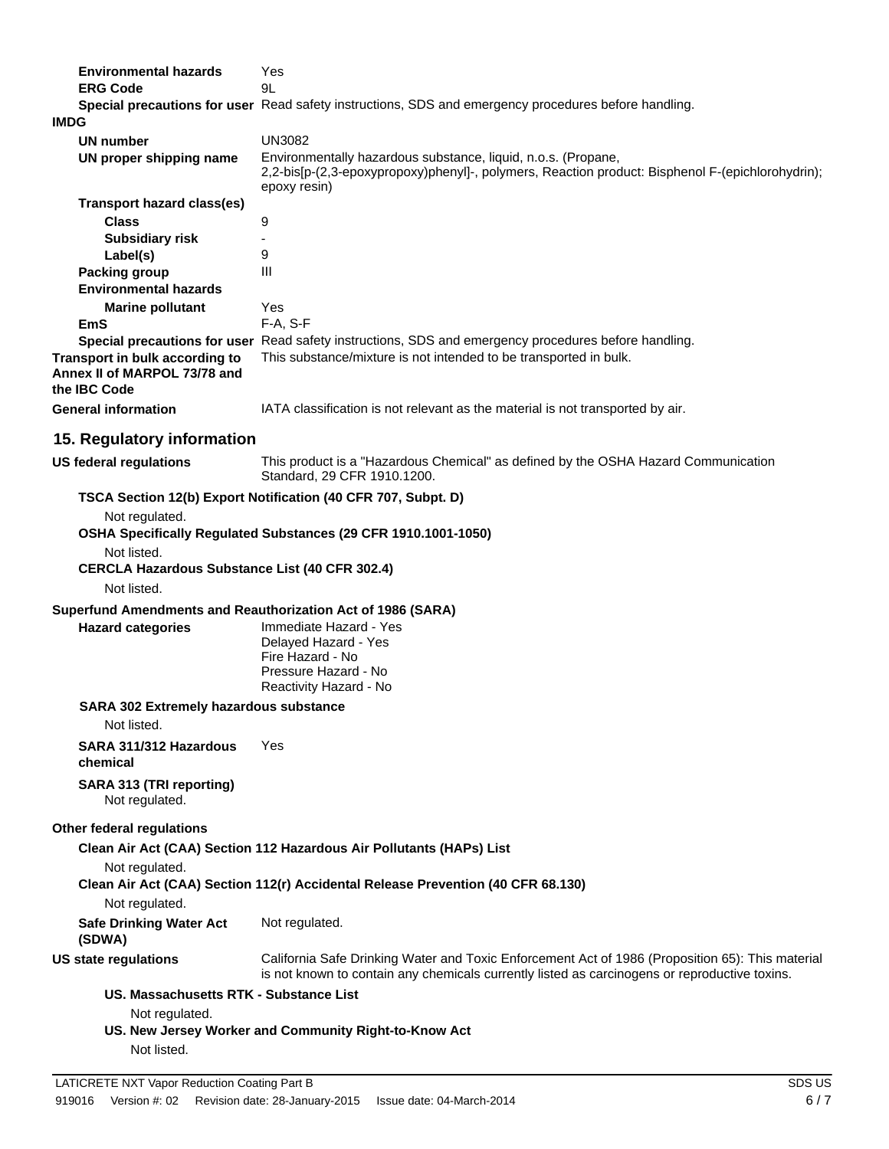| <b>Environmental hazards</b>                                                   | Yes                                                                                                                                                                                               |  |
|--------------------------------------------------------------------------------|---------------------------------------------------------------------------------------------------------------------------------------------------------------------------------------------------|--|
| <b>ERG Code</b>                                                                | 9L                                                                                                                                                                                                |  |
|                                                                                | Special precautions for user Read safety instructions, SDS and emergency procedures before handling.                                                                                              |  |
| <b>IMDG</b>                                                                    |                                                                                                                                                                                                   |  |
| <b>UN number</b>                                                               | <b>UN3082</b>                                                                                                                                                                                     |  |
| UN proper shipping name                                                        | Environmentally hazardous substance, liquid, n.o.s. (Propane,                                                                                                                                     |  |
|                                                                                | 2,2-bis[p-(2,3-epoxypropoxy)phenyl]-, polymers, Reaction product: Bisphenol F-(epichlorohydrin);<br>epoxy resin)                                                                                  |  |
| <b>Transport hazard class(es)</b>                                              |                                                                                                                                                                                                   |  |
| <b>Class</b>                                                                   | 9                                                                                                                                                                                                 |  |
| <b>Subsidiary risk</b>                                                         |                                                                                                                                                                                                   |  |
| Label(s)                                                                       | 9                                                                                                                                                                                                 |  |
| <b>Packing group</b>                                                           | Ш                                                                                                                                                                                                 |  |
| <b>Environmental hazards</b>                                                   |                                                                                                                                                                                                   |  |
|                                                                                | Yes                                                                                                                                                                                               |  |
| <b>Marine pollutant</b>                                                        |                                                                                                                                                                                                   |  |
| <b>EmS</b>                                                                     | F-A, S-F                                                                                                                                                                                          |  |
| Transport in bulk according to<br>Annex II of MARPOL 73/78 and<br>the IBC Code | Special precautions for user Read safety instructions, SDS and emergency procedures before handling.<br>This substance/mixture is not intended to be transported in bulk.                         |  |
| <b>General information</b>                                                     | IATA classification is not relevant as the material is not transported by air.                                                                                                                    |  |
| 15. Regulatory information                                                     |                                                                                                                                                                                                   |  |
| <b>US federal regulations</b>                                                  | This product is a "Hazardous Chemical" as defined by the OSHA Hazard Communication<br>Standard, 29 CFR 1910.1200.                                                                                 |  |
|                                                                                | TSCA Section 12(b) Export Notification (40 CFR 707, Subpt. D)                                                                                                                                     |  |
| Not regulated.                                                                 | OSHA Specifically Regulated Substances (29 CFR 1910.1001-1050)                                                                                                                                    |  |
| Not listed.                                                                    |                                                                                                                                                                                                   |  |
| <b>CERCLA Hazardous Substance List (40 CFR 302.4)</b><br>Not listed.           |                                                                                                                                                                                                   |  |
|                                                                                |                                                                                                                                                                                                   |  |
| Superfund Amendments and Reauthorization Act of 1986 (SARA)                    |                                                                                                                                                                                                   |  |
| <b>Hazard categories</b>                                                       | Immediate Hazard - Yes<br>Delayed Hazard - Yes<br>Fire Hazard - No<br>Pressure Hazard - No<br>Reactivity Hazard - No                                                                              |  |
| <b>SARA 302 Extremely hazardous substance</b>                                  |                                                                                                                                                                                                   |  |
| Not listed.                                                                    |                                                                                                                                                                                                   |  |
| SARA 311/312 Hazardous<br>chemical                                             | Yes                                                                                                                                                                                               |  |
| SARA 313 (TRI reporting)<br>Not regulated.                                     |                                                                                                                                                                                                   |  |
| Other federal regulations                                                      |                                                                                                                                                                                                   |  |
|                                                                                | Clean Air Act (CAA) Section 112 Hazardous Air Pollutants (HAPs) List                                                                                                                              |  |
| Not regulated.                                                                 |                                                                                                                                                                                                   |  |
| Not regulated.                                                                 | Clean Air Act (CAA) Section 112(r) Accidental Release Prevention (40 CFR 68.130)                                                                                                                  |  |
| <b>Safe Drinking Water Act</b><br>(SDWA)                                       | Not regulated.                                                                                                                                                                                    |  |
| <b>US state regulations</b>                                                    | California Safe Drinking Water and Toxic Enforcement Act of 1986 (Proposition 65): This material<br>is not known to contain any chemicals currently listed as carcinogens or reproductive toxins. |  |
| US. Massachusetts RTK - Substance List                                         |                                                                                                                                                                                                   |  |
| Not regulated.                                                                 |                                                                                                                                                                                                   |  |
|                                                                                | US. New Jersey Worker and Community Right-to-Know Act                                                                                                                                             |  |
| Not listed.                                                                    |                                                                                                                                                                                                   |  |